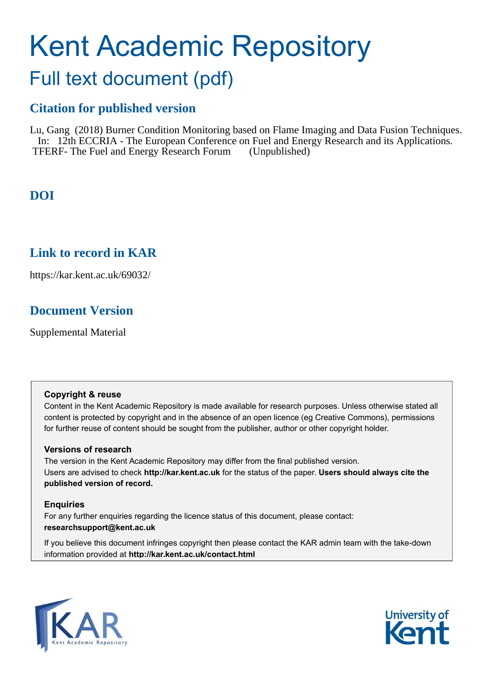# Kent Academic Repository Full text document (pdf)

## **Citation for published version**

Lu, Gang (2018) Burner Condition Monitoring based on Flame Imaging and Data Fusion Techniques. In: 12th ECCRIA - The European Conference on Fuel and Energy Research and its Applications. TFERF- The Fuel and Energy Research Forum (Unpublished)

## **DOI**

### **Link to record in KAR**

https://kar.kent.ac.uk/69032/

## **Document Version**

Supplemental Material

#### **Copyright & reuse**

Content in the Kent Academic Repository is made available for research purposes. Unless otherwise stated all content is protected by copyright and in the absence of an open licence (eg Creative Commons), permissions for further reuse of content should be sought from the publisher, author or other copyright holder.

#### **Versions of research**

The version in the Kent Academic Repository may differ from the final published version. Users are advised to check **http://kar.kent.ac.uk** for the status of the paper. **Users should always cite the published version of record.**

#### **Enquiries**

For any further enquiries regarding the licence status of this document, please contact: **researchsupport@kent.ac.uk**

If you believe this document infringes copyright then please contact the KAR admin team with the take-down information provided at **http://kar.kent.ac.uk/contact.html**